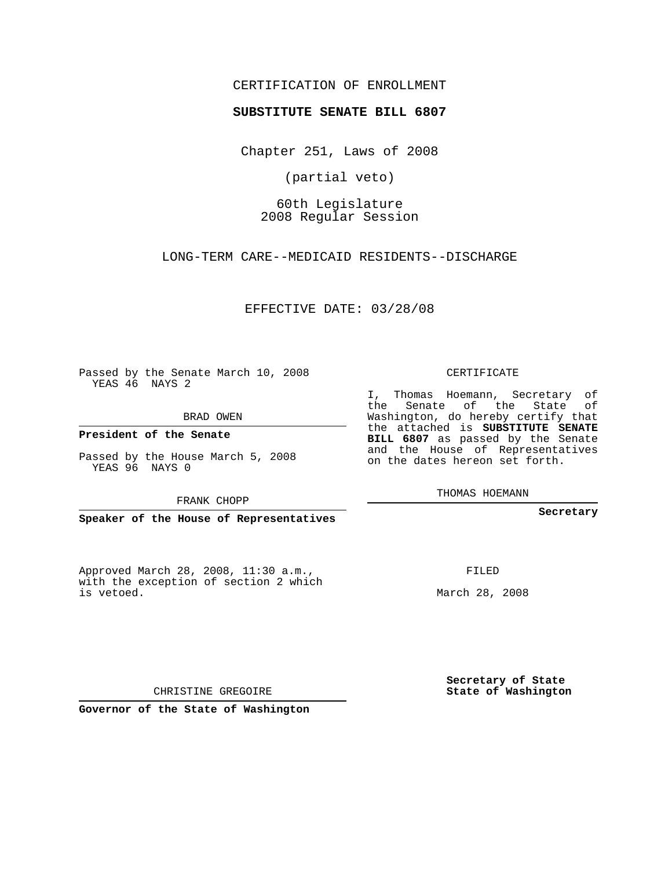## CERTIFICATION OF ENROLLMENT

## **SUBSTITUTE SENATE BILL 6807**

Chapter 251, Laws of 2008

(partial veto)

60th Legislature 2008 Regular Session

LONG-TERM CARE--MEDICAID RESIDENTS--DISCHARGE

EFFECTIVE DATE: 03/28/08

Passed by the Senate March 10, 2008 YEAS 46 NAYS 2

BRAD OWEN

**President of the Senate**

Passed by the House March 5, 2008 YEAS 96 NAYS 0

FRANK CHOPP

**Speaker of the House of Representatives**

Approved March 28, 2008, 11:30 a.m., with the exception of section 2 which is vetoed.

CERTIFICATE

I, Thomas Hoemann, Secretary of the Senate of the State of Washington, do hereby certify that the attached is **SUBSTITUTE SENATE BILL 6807** as passed by the Senate and the House of Representatives on the dates hereon set forth.

THOMAS HOEMANN

**Secretary**

FILED

March 28, 2008

**Secretary of State State of Washington**

CHRISTINE GREGOIRE

**Governor of the State of Washington**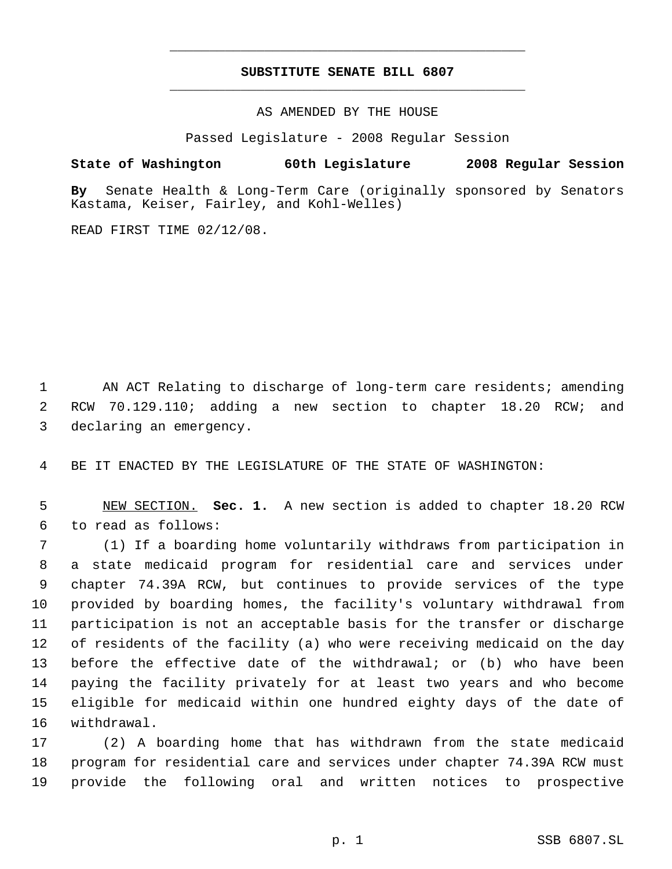## **SUBSTITUTE SENATE BILL 6807** \_\_\_\_\_\_\_\_\_\_\_\_\_\_\_\_\_\_\_\_\_\_\_\_\_\_\_\_\_\_\_\_\_\_\_\_\_\_\_\_\_\_\_\_\_

\_\_\_\_\_\_\_\_\_\_\_\_\_\_\_\_\_\_\_\_\_\_\_\_\_\_\_\_\_\_\_\_\_\_\_\_\_\_\_\_\_\_\_\_\_

AS AMENDED BY THE HOUSE

Passed Legislature - 2008 Regular Session

**State of Washington 60th Legislature 2008 Regular Session**

**By** Senate Health & Long-Term Care (originally sponsored by Senators Kastama, Keiser, Fairley, and Kohl-Welles)

READ FIRST TIME 02/12/08.

 AN ACT Relating to discharge of long-term care residents; amending RCW 70.129.110; adding a new section to chapter 18.20 RCW; and declaring an emergency.

BE IT ENACTED BY THE LEGISLATURE OF THE STATE OF WASHINGTON:

 NEW SECTION. **Sec. 1.** A new section is added to chapter 18.20 RCW to read as follows:

 (1) If a boarding home voluntarily withdraws from participation in a state medicaid program for residential care and services under chapter 74.39A RCW, but continues to provide services of the type provided by boarding homes, the facility's voluntary withdrawal from participation is not an acceptable basis for the transfer or discharge of residents of the facility (a) who were receiving medicaid on the day before the effective date of the withdrawal; or (b) who have been paying the facility privately for at least two years and who become eligible for medicaid within one hundred eighty days of the date of withdrawal.

 (2) A boarding home that has withdrawn from the state medicaid program for residential care and services under chapter 74.39A RCW must provide the following oral and written notices to prospective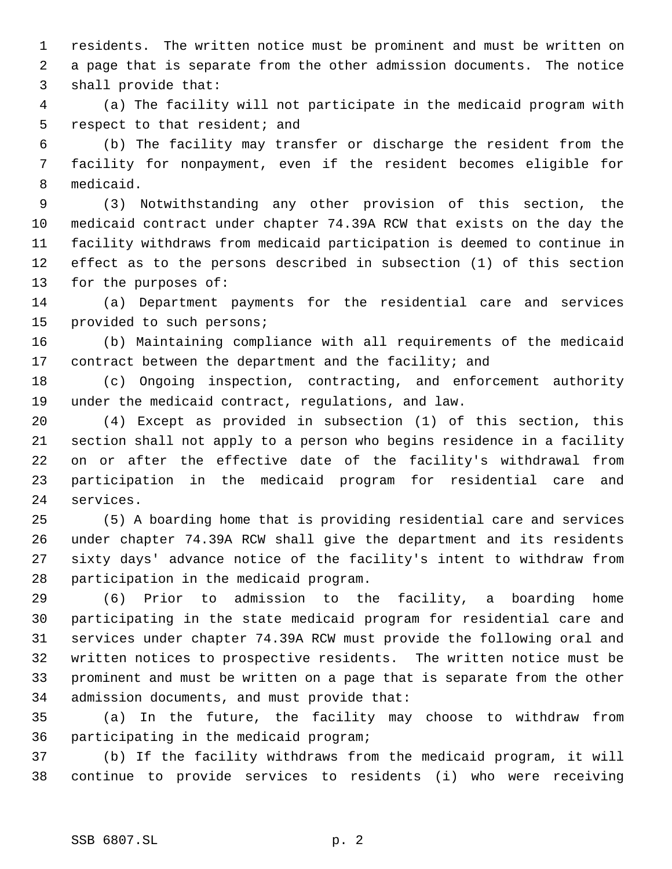residents. The written notice must be prominent and must be written on a page that is separate from the other admission documents. The notice shall provide that:

 (a) The facility will not participate in the medicaid program with respect to that resident; and

 (b) The facility may transfer or discharge the resident from the facility for nonpayment, even if the resident becomes eligible for medicaid.

 (3) Notwithstanding any other provision of this section, the medicaid contract under chapter 74.39A RCW that exists on the day the facility withdraws from medicaid participation is deemed to continue in effect as to the persons described in subsection (1) of this section for the purposes of:

 (a) Department payments for the residential care and services provided to such persons;

 (b) Maintaining compliance with all requirements of the medicaid 17 contract between the department and the facility; and

 (c) Ongoing inspection, contracting, and enforcement authority under the medicaid contract, regulations, and law.

 (4) Except as provided in subsection (1) of this section, this section shall not apply to a person who begins residence in a facility on or after the effective date of the facility's withdrawal from participation in the medicaid program for residential care and services.

 (5) A boarding home that is providing residential care and services under chapter 74.39A RCW shall give the department and its residents sixty days' advance notice of the facility's intent to withdraw from participation in the medicaid program.

 (6) Prior to admission to the facility, a boarding home participating in the state medicaid program for residential care and services under chapter 74.39A RCW must provide the following oral and written notices to prospective residents. The written notice must be prominent and must be written on a page that is separate from the other admission documents, and must provide that:

 (a) In the future, the facility may choose to withdraw from participating in the medicaid program;

 (b) If the facility withdraws from the medicaid program, it will continue to provide services to residents (i) who were receiving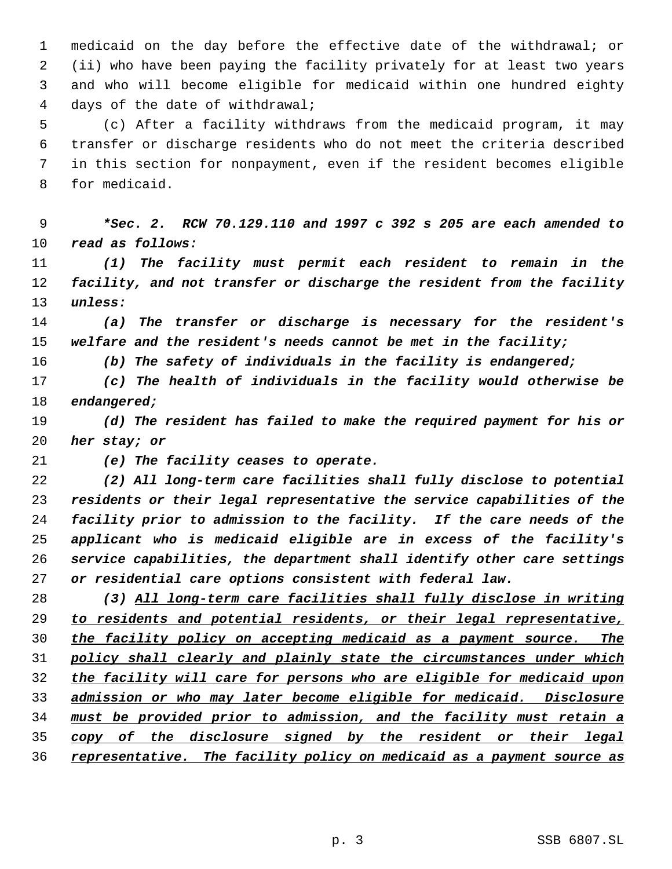medicaid on the day before the effective date of the withdrawal; or (ii) who have been paying the facility privately for at least two years and who will become eligible for medicaid within one hundred eighty days of the date of withdrawal;

 (c) After a facility withdraws from the medicaid program, it may transfer or discharge residents who do not meet the criteria described in this section for nonpayment, even if the resident becomes eligible for medicaid.

 *\*Sec. 2. RCW 70.129.110 and 1997 c 392 s 205 are each amended to read as follows:*

 *(1) The facility must permit each resident to remain in the facility, and not transfer or discharge the resident from the facility unless:*

 *(a) The transfer or discharge is necessary for the resident's welfare and the resident's needs cannot be met in the facility;*

*(b) The safety of individuals in the facility is endangered;*

 *(c) The health of individuals in the facility would otherwise be endangered;*

 *(d) The resident has failed to make the required payment for his or her stay; or*

*(e) The facility ceases to operate.*

 *(2) All long-term care facilities shall fully disclose to potential residents or their legal representative the service capabilities of the facility prior to admission to the facility. If the care needs of the applicant who is medicaid eligible are in excess of the facility's service capabilities, the department shall identify other care settings or residential care options consistent with federal law.*

 *(3) All long-term care facilities shall fully disclose in writing to residents and potential residents, or their legal representative, the facility policy on accepting medicaid as a payment source. The policy shall clearly and plainly state the circumstances under which the facility will care for persons who are eligible for medicaid upon admission or who may later become eligible for medicaid. Disclosure must be provided prior to admission, and the facility must retain a copy of the disclosure signed by the resident or their legal representative. The facility policy on medicaid as a payment source as*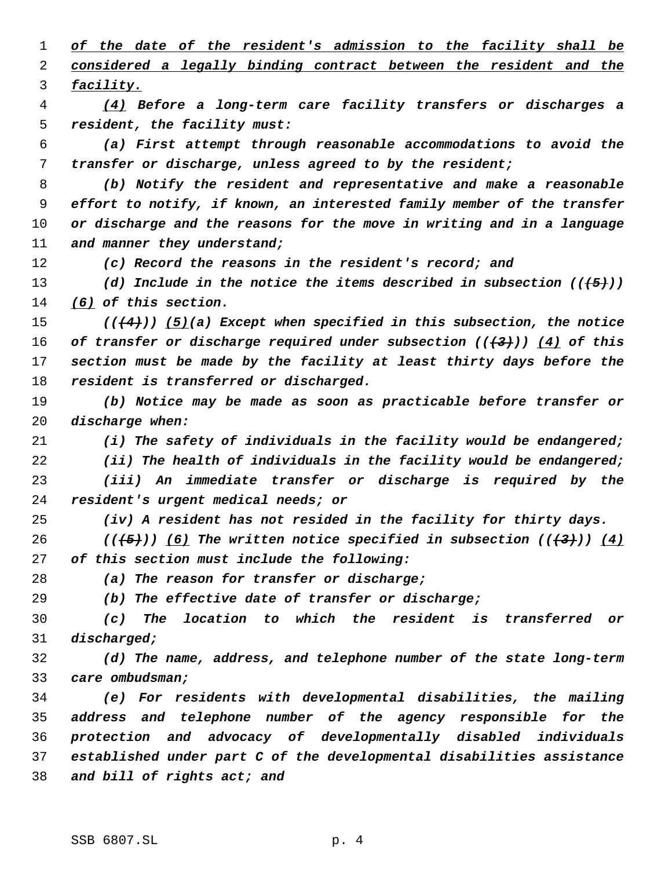*of the date of the resident's admission to the facility shall be considered a legally binding contract between the resident and the facility.*

 *(4) Before a long-term care facility transfers or discharges a resident, the facility must:*

 *(a) First attempt through reasonable accommodations to avoid the transfer or discharge, unless agreed to by the resident;*

 *(b) Notify the resident and representative and make a reasonable effort to notify, if known, an interested family member of the transfer or discharge and the reasons for the move in writing and in a language and manner they understand;*

*(c) Record the reasons in the resident's record; and*

 *(d) Include in the notice the items described in subsection (((5))) (6) of this section.*

 *(((4))) (5)(a) Except when specified in this subsection, the notice of transfer or discharge required under subsection (((3))) (4) of this section must be made by the facility at least thirty days before the resident is transferred or discharged.*

 *(b) Notice may be made as soon as practicable before transfer or discharge when:*

*(i) The safety of individuals in the facility would be endangered;*

*(ii) The health of individuals in the facility would be endangered;*

 *(iii) An immediate transfer or discharge is required by the resident's urgent medical needs; or*

*(iv) A resident has not resided in the facility for thirty days.*

 *(((5))) (6) The written notice specified in subsection (((3))) (4) of this section must include the following:*

*(a) The reason for transfer or discharge;*

*(b) The effective date of transfer or discharge;*

 *(c) The location to which the resident is transferred or discharged;*

 *(d) The name, address, and telephone number of the state long-term care ombudsman;*

 *(e) For residents with developmental disabilities, the mailing address and telephone number of the agency responsible for the protection and advocacy of developmentally disabled individuals established under part C of the developmental disabilities assistance and bill of rights act; and*